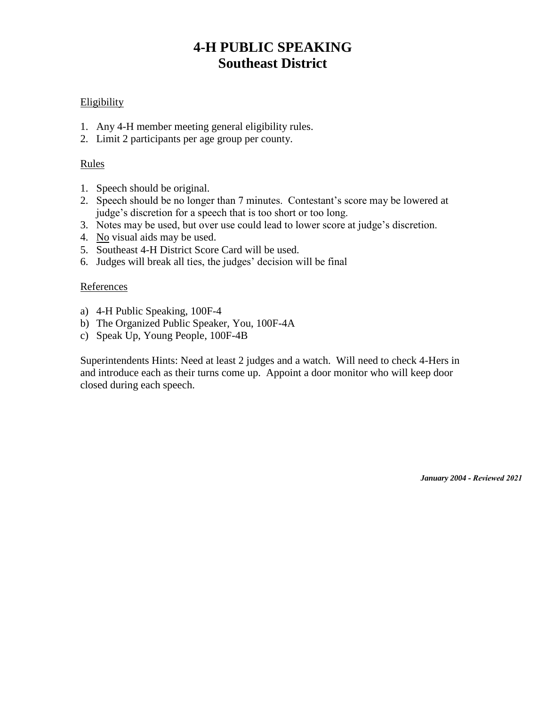# **4-H PUBLIC SPEAKING Southeast District**

### **Eligibility**

- 1. Any 4-H member meeting general eligibility rules.
- 2. Limit 2 participants per age group per county.

### Rules

- 1. Speech should be original.
- 2. Speech should be no longer than 7 minutes. Contestant's score may be lowered at judge's discretion for a speech that is too short or too long.
- 3. Notes may be used, but over use could lead to lower score at judge's discretion.
- 4. No visual aids may be used.
- 5. Southeast 4-H District Score Card will be used.
- 6. Judges will break all ties, the judges' decision will be final

#### References

- a) 4-H Public Speaking, 100F-4
- b) The Organized Public Speaker, You, 100F-4A
- c) Speak Up, Young People, 100F-4B

Superintendents Hints: Need at least 2 judges and a watch. Will need to check 4-Hers in and introduce each as their turns come up. Appoint a door monitor who will keep door closed during each speech.

*January 2004 - Reviewed 2021*